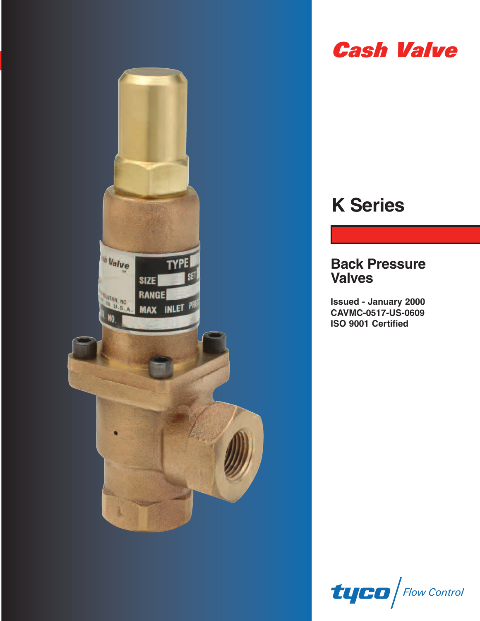



# **K Series**

# **Back Pressure Valves**

**Issued - January 2000 CAVMC-0517-US-0609 ISO 9001 Certified**

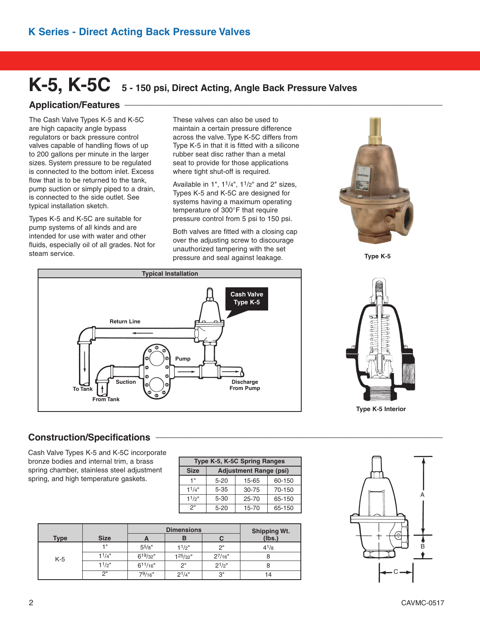# **K-5, K-5C 5 - <sup>150</sup> psi, Direct Acting, Angle Back Pressure Valves**

#### **Application/Features \_\_\_\_\_\_\_\_\_\_\_\_\_\_\_\_\_\_\_\_\_\_\_\_\_\_\_\_\_\_\_\_\_\_\_\_\_\_\_\_\_\_\_\_\_\_\_\_\_\_\_\_\_\_\_\_\_\_\_\_\_\_**

The Cash Valve Types K-5 and K-5C are high capacity angle bypass regulators or back pressure control valves capable of handling flows of up to 200 gallons per minute in the larger sizes. System pressure to be regulated is connected to the bottom inlet. Excess flow that is to be returned to the tank, pump suction or simply piped to a drain, is connected to the side outlet. See typical installation sketch.

Types K-5 and K-5C are suitable for pump systems of all kinds and are intended for use with water and other fluids, especially oil of all grades. Not for steam service.

These valves can also be used to maintain a certain pressure difference across the valve. Type K-5C differs from Type K-5 in that it is fitted with a silicone rubber seat disc rather than a metal seat to provide for those applications where tight shut-off is required.

Available in  $1"$ ,  $1<sup>1</sup>/4"$ ,  $1<sup>1</sup>/2"$  and  $2"$  sizes, Types K-5 and K-5C are designed for systems having a maximum operating temperature of 300°F that require pressure control from 5 psi to 150 psi.

Both valves are fitted with a closing cap over the adjusting screw to discourage unauthorized tampering with the set pressure and seal against leakage.



**Type K-5**





**Type K-5 Interior**

### **Construction/Specifications \_\_\_\_\_\_\_\_\_\_\_\_\_\_\_\_\_\_\_\_\_\_\_\_\_\_\_\_\_\_\_\_\_\_\_\_\_\_\_\_\_\_\_\_\_\_\_\_\_\_\_\_\_\_\_\_**

Cash Valve Types K-5 and K-5C incorporate bronze bodies and internal trim, a brass spring chamber, stainless steel adjustment spring, and high temperature gaskets.

| Type K-5, K-5C Spring Ranges |                               |           |        |  |  |  |  |
|------------------------------|-------------------------------|-----------|--------|--|--|--|--|
| <b>Size</b>                  | <b>Adjustment Range (psi)</b> |           |        |  |  |  |  |
| 1"                           | $5 - 20$                      | 15-65     | 60-150 |  |  |  |  |
| 11/4"                        | $5 - 35$                      | 30-75     | 70-150 |  |  |  |  |
| 11/2"                        | $5 - 30$                      | $25 - 70$ | 65-150 |  |  |  |  |
| 2"                           | $5 - 20$                      | 15-70     | 65-150 |  |  |  |  |

|             |                    |            | <b>Dimensions</b> | <b>Shipping Wt.</b> |           |  |
|-------------|--------------------|------------|-------------------|---------------------|-----------|--|
| <b>Type</b> | <b>Size</b>        |            | ь                 |                     | (Ibs.)    |  |
|             | 4 !!               | $5^{5}/8"$ | 11/2"             | 2"                  | $4^{1/8}$ |  |
| K-5         | 1 <sup>1</sup> /4" | 619/32"    | 125/32"           | $2^{7/16"}$         |           |  |
|             | 11/2"              | 611/16"    | 2"                | $2^{1/2}$ "         | ŏ         |  |
|             | つ"                 | $7^9/16''$ | $2^{1/4"}$        | 3"                  | 14        |  |

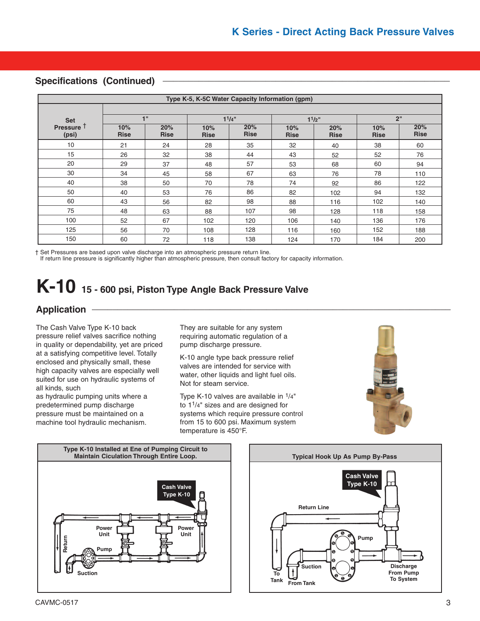#### **Specifications (Continued) \_\_\_\_\_\_\_\_\_\_\_\_\_\_\_\_\_\_\_\_\_\_\_\_\_\_\_\_\_\_\_\_\_\_\_\_\_\_\_\_\_\_\_\_\_\_\_\_\_\_\_\_\_\_\_\_**

|                                | Type K-5, K-5C Water Capacity Information (gpm) |                    |                    |                    |                    |                    |                    |                    |  |  |
|--------------------------------|-------------------------------------------------|--------------------|--------------------|--------------------|--------------------|--------------------|--------------------|--------------------|--|--|
| <b>Set</b>                     |                                                 | 1"                 |                    | 11/4"              |                    | $1^{1/2}$          |                    | 2"                 |  |  |
| Pressure <sup>T</sup><br>(psi) | 10%<br><b>Rise</b>                              | 20%<br><b>Rise</b> | 10%<br><b>Rise</b> | 20%<br><b>Rise</b> | 10%<br><b>Rise</b> | 20%<br><b>Rise</b> | 10%<br><b>Rise</b> | 20%<br><b>Rise</b> |  |  |
| 10                             | 21                                              | 24                 | 28                 | 35                 | 32                 | 40                 | 38                 | 60                 |  |  |
| 15                             | 26                                              | 32                 | 38                 | 44                 | 43                 | 52                 | 52                 | 76                 |  |  |
| 20                             | 29                                              | 37                 | 48                 | 57                 | 53                 | 68                 | 60                 | 94                 |  |  |
| 30                             | 34                                              | 45                 | 58                 | 67                 | 63                 | 76                 | 78                 | 110                |  |  |
| 40                             | 38                                              | 50                 | 70                 | 78                 | 74                 | 92                 | 86                 | 122                |  |  |
| 50                             | 40                                              | 53                 | 76                 | 86                 | 82                 | 102                | 94                 | 132                |  |  |
| 60                             | 43                                              | 56                 | 82                 | 98                 | 88                 | 116                | 102                | 140                |  |  |
| 75                             | 48                                              | 63                 | 88                 | 107                | 98                 | 128                | 118                | 158                |  |  |
| 100                            | 52                                              | 67                 | 102                | 120                | 106                | 140                | 136                | 176                |  |  |
| 125                            | 56                                              | 70                 | 108                | 128                | 116                | 160                | 152                | 188                |  |  |
| 150                            | 60                                              | 72                 | 118                | 138                | 124                | 170                | 184                | 200                |  |  |

† Set Pressures are based upon valve discharge into an atmospheric pressure return line.

If return line pressure is significantly higher than atmospheric pressure, then consult factory for capacity information.

# **K-10 15 - 600 psi, Piston Type Angle Back Pressure Valve**

# **Application \_\_\_\_\_\_\_\_\_\_\_\_\_\_\_\_\_\_\_\_\_\_\_\_\_\_\_\_\_\_\_\_\_\_\_\_\_\_\_\_\_\_\_\_\_\_\_\_\_\_\_\_\_\_\_\_\_\_\_\_\_\_\_\_\_\_\_\_\_\_**

The Cash Valve Type K-10 back pressure relief valves sacrifice nothing in quality or dependability, yet are priced at a satisfying competitive level. Totally enclosed and physically small, these high capacity valves are especially well suited for use on hydraulic systems of all kinds, such

as hydraulic pumping units where a predetermined pump discharge pressure must be maintained on a machine tool hydraulic mechanism.

They are suitable for any system requiring automatic regulation of a pump discharge pressure.

K-10 angle type back pressure relief valves are intended for service with water, other liquids and light fuel oils. Not for steam service.

Type K-10 valves are available in 1/4" to 11/4" sizes and are designed for systems which require pressure control from 15 to 600 psi. Maximum system temperature is 450°F.





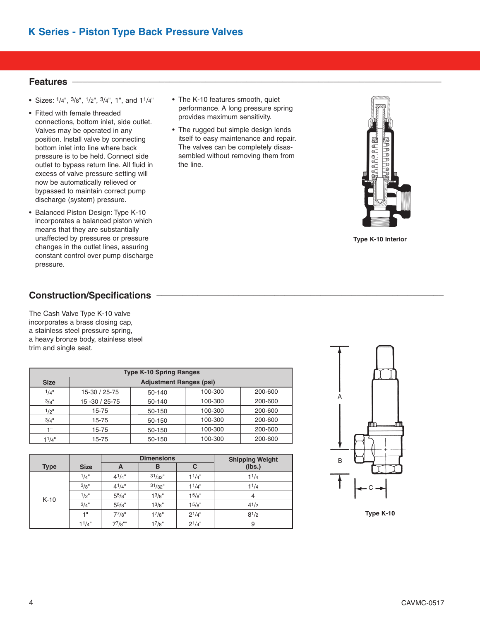• The K-10 features smooth, quiet performance. A long pressure spring provides maximum sensitivity. • The rugged but simple design lends itself to easy maintenance and repair. The valves can be completely disassembled without removing them from

the line.

## **Features \_\_\_\_\_\_\_\_\_\_\_\_\_\_\_\_\_\_\_\_\_\_\_\_\_\_\_\_\_\_\_\_\_\_\_\_\_\_\_\_\_\_\_\_\_\_\_\_\_\_\_\_\_\_\_\_\_\_\_\_\_\_\_\_\_\_\_\_\_\_\_\_**

- Sizes:  $1/4$ ",  $3/8$ ",  $1/2$ ",  $3/4$ ", 1", and  $11/4$ "
- Fitted with female threaded connections, bottom inlet, side outlet. Valves may be operated in any position. Install valve by connecting bottom inlet into line where back pressure is to be held. Connect side outlet to bypass return line. All fluid in excess of valve pressure setting will now be automatically relieved or bypassed to maintain correct pump discharge (system) pressure.
- Balanced Piston Design: Type K-10 incorporates a balanced piston which means that they are substantially unaffected by pressures or pressure changes in the outlet lines, assuring constant control over pump discharge pressure.
- **Construction/Specifications \_\_\_\_\_\_\_\_\_\_\_\_\_\_\_\_\_\_\_\_\_\_\_\_\_\_\_\_\_\_\_\_\_\_\_\_\_\_\_\_\_\_\_\_\_\_\_\_\_\_\_\_\_\_\_\_**

The Cash Valve Type K-10 valve incorporates a brass closing cap, a stainless steel pressure spring, a heavy bronze body, stainless steel trim and single seat.

| <b>Type K-10 Spring Ranges</b> |                                |        |         |         |  |  |  |  |  |  |
|--------------------------------|--------------------------------|--------|---------|---------|--|--|--|--|--|--|
| <b>Size</b>                    | <b>Adjustment Ranges (psi)</b> |        |         |         |  |  |  |  |  |  |
| 1/4"                           | 15-30 / 25-75                  | 50-140 | 100-300 | 200-600 |  |  |  |  |  |  |
| 3/g''                          | 15 - 30 / 25 - 75              | 50-140 | 100-300 | 200-600 |  |  |  |  |  |  |
| 1/2"                           | 15-75                          | 50-150 | 100-300 | 200-600 |  |  |  |  |  |  |
| 3/4"                           | 15-75                          | 50-150 | 100-300 | 200-600 |  |  |  |  |  |  |
| 4 !!                           | 15-75                          | 50-150 | 100-300 | 200-600 |  |  |  |  |  |  |
| 1 <sup>1</sup> /4"             | 15-75                          | 50-150 | 100-300 | 200-600 |  |  |  |  |  |  |

|             |             |             | <b>Dimensions</b> | <b>Shipping Weight</b> |           |
|-------------|-------------|-------------|-------------------|------------------------|-----------|
| <b>Type</b> | <b>Size</b> | A           | в                 | С                      | (lbs.)    |
|             | 1/4"        | $4^{1}/4$ " | $31/32$ "         | 11/4"                  | 11/4      |
|             | 3/8"        | $4^{1}/4$ " | $31/32$ "         | 11/4"                  | 11/4      |
| $K-10$      | $1/2$ "     | $5^{5}/8"$  | $1^{3}/8"$        | 15/8"                  | 4         |
|             | $3/4$ "     | $5^{5}/8"$  | $1^{3}/8"$        | 15/8"                  | $4^{1/2}$ |
|             | 1 "         | $7^{7}/8"$  | $1^{7}/8"$        | $2^{1/4"}$             | $8^{1/2}$ |
|             | 11/4"       | $77/8$ ""   | 17/8"             | $2^{1/4"}$             | 9         |



**Type K-10** 



**Type K-10 Interior**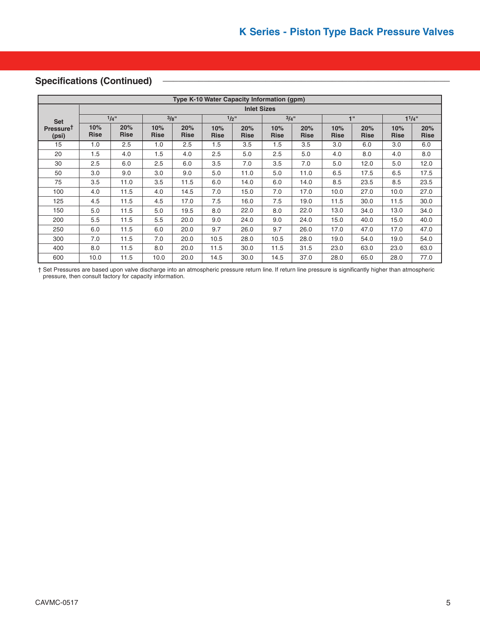#### Specifications (Continued)

| Type K-10 Water Capacity Information (gpm) |                    |                    |                    |                    |                    |                    |                    |                    |                    |                    |                    |                    |
|--------------------------------------------|--------------------|--------------------|--------------------|--------------------|--------------------|--------------------|--------------------|--------------------|--------------------|--------------------|--------------------|--------------------|
|                                            | <b>Inlet Sizes</b> |                    |                    |                    |                    |                    |                    |                    |                    |                    |                    |                    |
| <b>Set</b>                                 |                    | 1/4"               | 3/8"               |                    | $1/2$ "            |                    | 3/4"               |                    |                    | 1"                 |                    | 11/4"              |
| PressureT<br>(psi)                         | 10%<br><b>Rise</b> | 20%<br><b>Rise</b> | 10%<br><b>Rise</b> | 20%<br><b>Rise</b> | 10%<br><b>Rise</b> | 20%<br><b>Rise</b> | 10%<br><b>Rise</b> | 20%<br><b>Rise</b> | 10%<br><b>Rise</b> | 20%<br><b>Rise</b> | 10%<br><b>Rise</b> | 20%<br><b>Rise</b> |
| 15                                         | 1.0                | 2.5                | 1.0                | 2.5                | 1.5                | 3.5                | 1.5                | 3.5                | 3.0                | 6.0                | 3.0                | 6.0                |
| 20                                         | 1.5                | 4.0                | 1.5                | 4.0                | 2.5                | 5.0                | 2.5                | 5.0                | 4.0                | 8.0                | 4.0                | 8.0                |
| 30                                         | 2.5                | 6.0                | 2.5                | 6.0                | 3.5                | 7.0                | 3.5                | 7.0                | 5.0                | 12.0               | 5.0                | 12.0               |
| 50                                         | 3.0                | 9.0                | 3.0                | 9.0                | 5.0                | 11.0               | 5.0                | 11.0               | 6.5                | 17.5               | 6.5                | 17.5               |
| 75                                         | 3.5                | 11.0               | 3.5                | 11.5               | 6.0                | 14.0               | 6.0                | 14.0               | 8.5                | 23.5               | 8.5                | 23.5               |
| 100                                        | 4.0                | 11.5               | 4.0                | 14.5               | 7.0                | 15.0               | 7.0                | 17.0               | 10.0               | 27.0               | 10.0               | 27.0               |
| 125                                        | 4.5                | 11.5               | 4.5                | 17.0               | 7.5                | 16.0               | 7.5                | 19.0               | 11.5               | 30.0               | 11.5               | 30.0               |
| 150                                        | 5.0                | 11.5               | 5.0                | 19.5               | 8.0                | 22.0               | 8.0                | 22.0               | 13.0               | 34.0               | 13.0               | 34.0               |
| 200                                        | 5.5                | 11.5               | 5.5                | 20.0               | 9.0                | 24.0               | 9.0                | 24.0               | 15.0               | 40.0               | 15.0               | 40.0               |
| 250                                        | 6.0                | 11.5               | 6.0                | 20.0               | 9.7                | 26.0               | 9.7                | 26.0               | 17.0               | 47.0               | 17.0               | 47.0               |
| 300                                        | 7.0                | 11.5               | 7.0                | 20.0               | 10.5               | 28.0               | 10.5               | 28.0               | 19.0               | 54.0               | 19.0               | 54.0               |
| 400                                        | 8.0                | 11.5               | 8.0                | 20.0               | 11.5               | 30.0               | 11.5               | 31.5               | 23.0               | 63.0               | 23.0               | 63.0               |
| 600                                        | 10.0               | 11.5               | 10.0               | 20.0               | 14.5               | 30.0               | 14.5               | 37.0               | 28.0               | 65.0               | 28.0               | 77.0               |

† Set Pressures are based upon valve discharge into an atmospheric pressure return line. If return line pressure is significantly higher than atmospheric pressure, then consult factory for capacity information.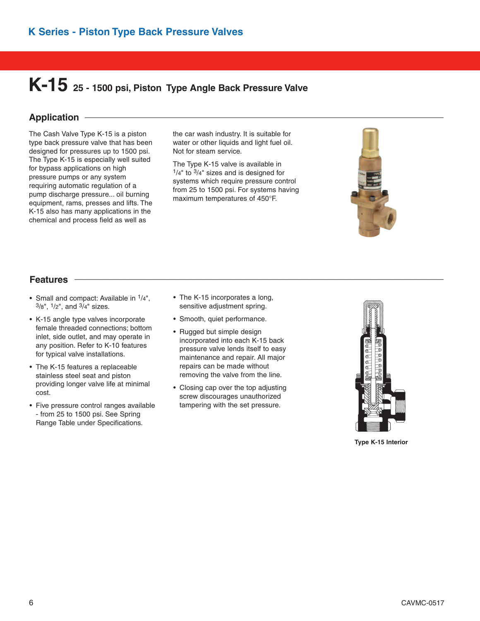# **K-15 25 - 1500 psi, Piston Type Angle Back Pressure Valve**

## **Application \_\_\_\_\_\_\_\_\_\_\_\_\_\_\_\_\_\_\_\_\_\_\_\_\_\_\_\_\_\_\_\_\_\_\_\_\_\_\_\_\_\_\_\_\_\_\_\_\_\_\_\_\_\_\_\_\_\_\_\_\_\_\_\_\_\_\_\_\_\_**

The Cash Valve Type K-15 is a piston type back pressure valve that has been designed for pressures up to 1500 psi. The Type K-15 is especially well suited for bypass applications on high pressure pumps or any system requiring automatic regulation of a pump discharge pressure... oil burning equipment, rams, presses and lifts. The K-15 also has many applications in the chemical and process field as well as

the car wash industry. It is suitable for water or other liquids and light fuel oil. Not for steam service.

The Type K-15 valve is available in  $1/4$ " to  $3/4$ " sizes and is designed for systems which require pressure control from 25 to 1500 psi. For systems having maximum temperatures of 450°F.



# **Features \_\_\_\_\_\_\_\_\_\_\_\_\_\_\_\_\_\_\_\_\_\_\_\_\_\_\_\_\_\_\_\_\_\_\_\_\_\_\_\_\_\_\_\_\_\_\_\_\_\_\_\_\_\_\_\_\_\_\_\_\_\_\_\_\_\_\_\_\_\_\_\_**

- Small and compact: Available in  $1/4$ ",  $3/8$ ",  $1/2$ ", and  $3/4$ " sizes.
- K-15 angle type valves incorporate female threaded connections; bottom inlet, side outlet, and may operate in any position. Refer to K-10 features for typical valve installations.
- The K-15 features a replaceable stainless steel seat and piston providing longer valve life at minimal cost.
- Five pressure control ranges available - from 25 to 1500 psi. See Spring Range Table under Specifications.
- The K-15 incorporates a long, sensitive adjustment spring.
- Smooth, quiet performance.
- Rugged but simple design incorporated into each K-15 back pressure valve lends itself to easy maintenance and repair. All major repairs can be made without removing the valve from the line.
- Closing cap over the top adjusting screw discourages unauthorized tampering with the set pressure.



**Type K-15 Interior**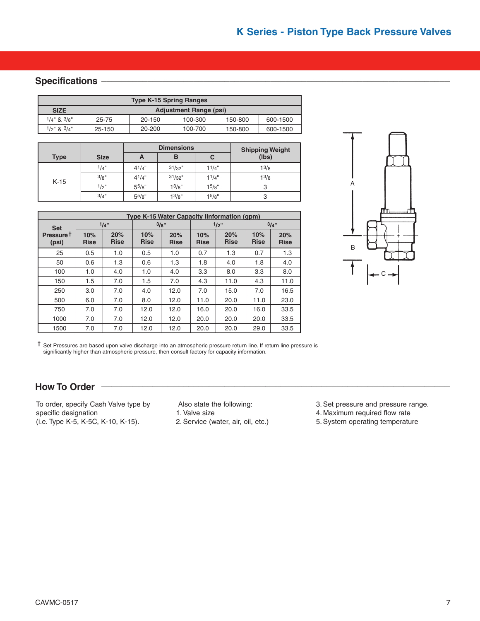#### **Specifications**

| <b>Type K-15 Spring Ranges</b> |        |                               |         |         |          |  |  |  |  |
|--------------------------------|--------|-------------------------------|---------|---------|----------|--|--|--|--|
| <b>SIZE</b>                    |        | <b>Adjustment Range (psi)</b> |         |         |          |  |  |  |  |
| $1/4$ " & $3/8$ "              | 25-75  | 20-150                        | 100-300 | 150-800 | 600-1500 |  |  |  |  |
| $1/2$ " & $3/4$ "              | 25-150 | 20-200                        | 100-700 | 150-800 | 600-1500 |  |  |  |  |

|             |             |             | <b>Dimensions</b>  | <b>Shipping Weight</b> |           |  |
|-------------|-------------|-------------|--------------------|------------------------|-----------|--|
| <b>Type</b> | <b>Size</b> | A           | в                  | С                      | (lbs)     |  |
| $K-15$      | 1/4"        | $4^{1}/4$ " | $31/32$ "          | $1^{1/4"$              | $1^{3/8}$ |  |
|             | 3/8"        | $4^{1}/4$ " | $31/32$ "          | 11/4"                  | $1^{3/8}$ |  |
|             | 1/2"        | $5^{5}/8"$  | 1 <sup>3</sup> /8" | 15/8"                  | 3         |  |
|             | $3/4$ "     | $5^{5}/8"$  | 1 <sup>3</sup> /8" | 1 <sup>5</sup> /8"     | З         |  |

|                                | Type K-15 Water Capacity linformation (qpm) |                    |                    |                    |                    |                    |                    |                    |  |  |  |  |
|--------------------------------|---------------------------------------------|--------------------|--------------------|--------------------|--------------------|--------------------|--------------------|--------------------|--|--|--|--|
| <b>Set</b>                     |                                             | 1/4"               |                    | 3/8"               |                    | $1/2$ "            | $3/4$ "            |                    |  |  |  |  |
| Pressure <sup>†</sup><br>(psi) | 10%<br><b>Rise</b>                          | 20%<br><b>Rise</b> | 10%<br><b>Rise</b> | 20%<br><b>Rise</b> | 10%<br><b>Rise</b> | 20%<br><b>Rise</b> | 10%<br><b>Rise</b> | 20%<br><b>Rise</b> |  |  |  |  |
| 25                             | 0.5                                         | 1.0                | 0.5                | 1.0                | 0.7                | 1.3                | 0.7                | 1.3                |  |  |  |  |
| 50                             | 0.6                                         | 1.3                | 0.6                | 1.3                | 1.8                | 4.0                | 1.8                | 4.0                |  |  |  |  |
| 100                            | 1.0                                         | 4.0                | 1.0                | 4.0                | 3.3                | 8.0                | 3.3                | 8.0                |  |  |  |  |
| 150                            | 1.5                                         | 7.0                | 1.5                | 7.0                | 4.3                | 11.0               | 4.3                | 11.0               |  |  |  |  |
| 250                            | 3.0                                         | 7.0                | 4.0                | 12.0               | 7.0                | 15.0               | 7.0                | 16.5               |  |  |  |  |
| 500                            | 6.0                                         | 7.0                | 8.0                | 12.0               | 11.0               | 20.0               | 11.0               | 23.0               |  |  |  |  |
| 750                            | 7.0                                         | 7.0                | 12.0               | 12.0               | 16.0               | 20.0               | 16.0               | 33.5               |  |  |  |  |
| 1000                           | 7.0                                         | 7.0                | 12.0               | 12.0               | 20.0               | 20.0               | 20.0               | 33.5               |  |  |  |  |
| 1500                           | 7.0                                         | 7.0                | 12.0               | 12.0               | 20.0               | 20.0               | 29.0               | 33.5               |  |  |  |  |



**†** Set Pressures are based upon valve discharge into an atmospheric pressure return line. If return line pressure is significantly higher than atmospheric pressure, then consult factory for capacity information.

#### How To Order -

To order, specify Cash Valve type by specific designation (i.e. Type K-5, K-5C, K-10, K-15).

Also state the following: 1. Valve size 2.Service (water, air, oil, etc.) 3. Set pressure and pressure range.

- 4. Maximum required flow rate
- 5.System operating temperature